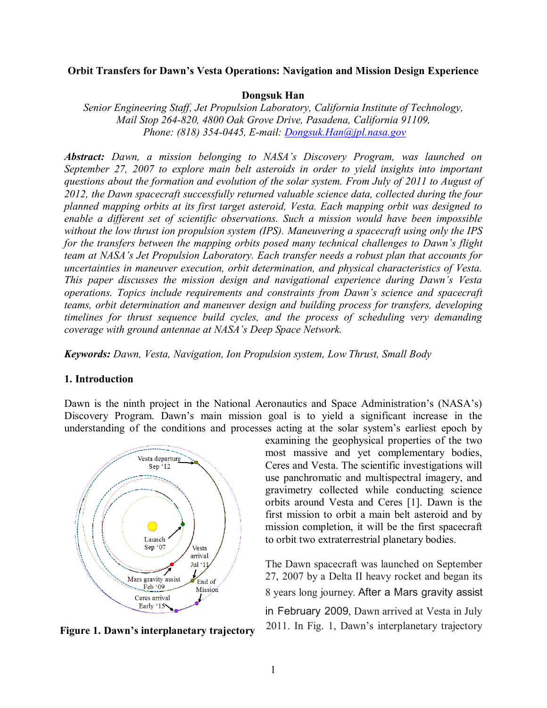#### **Orbit Transfers for Dawn's Vesta Operations: Navigation and Mission Design Experience**

#### **Dongsuk Han**

*Senior Engineering Staff, Jet Propulsion Laboratory, California Institute of Technology, Mail Stop 264-820, 4800 Oak Grove Drive, Pasadena, California 91109, Phone: (818) 354-0445, E-mail: [Dongsuk.Han@jpl.nasa.gov](mailto:Dongsuk.Han@jpl.nasa.gov)*

*Abstract: Dawn, a mission belonging to NASA's Discovery Program, was launched on September 27, 2007 to explore main belt asteroids in order to yield insights into important questions about the formation and evolution of the solar system. From July of 2011 to August of 2012, the Dawn spacecraft successfully returned valuable science data, collected during the four planned mapping orbits at its first target asteroid, Vesta. Each mapping orbit was designed to enable a different set of scientific observations. Such a mission would have been impossible without the low thrust ion propulsion system (IPS). Maneuvering a spacecraft using only the IPS for the transfers between the mapping orbits posed many technical challenges to Dawn's flight team at NASA's Jet Propulsion Laboratory. Each transfer needs a robust plan that accounts for uncertainties in maneuver execution, orbit determination, and physical characteristics of Vesta. This paper discusses the mission design and navigational experience during Dawn's Vesta operations. Topics include requirements and constraints from Dawn's science and spacecraft teams, orbit determination and maneuver design and building process for transfers, developing timelines for thrust sequence build cycles, and the process of scheduling very demanding coverage with ground antennae at NASA's Deep Space Network.*

*Keywords: Dawn, Vesta, Navigation, Ion Propulsion system, Low Thrust, Small Body*

#### **1. Introduction**

Dawn is the ninth project in the National Aeronautics and Space Administration's (NASA's) Discovery Program. Dawn's main mission goal is to yield a significant increase in the understanding of the conditions and processes acting at the solar system's earliest epoch by



examining the geophysical properties of the two most massive and yet complementary bodies, Ceres and Vesta. The scientific investigations will use panchromatic and multispectral imagery, and gravimetry collected while conducting science orbits around Vesta and Ceres [1]. Dawn is the first mission to orbit a main belt asteroid and by mission completion, it will be the first spacecraft to orbit two extraterrestrial planetary bodies.

The Dawn spacecraft was launched on September 27, 2007 by a Delta II heavy rocket and began its 8 years long journey. After a Mars gravity assist

in February 2009, Dawn arrived at Vesta in July **Figure 1. Dawn's interplanetary trajectory** 2011. In Fig. 1, Dawn's interplanetary trajectory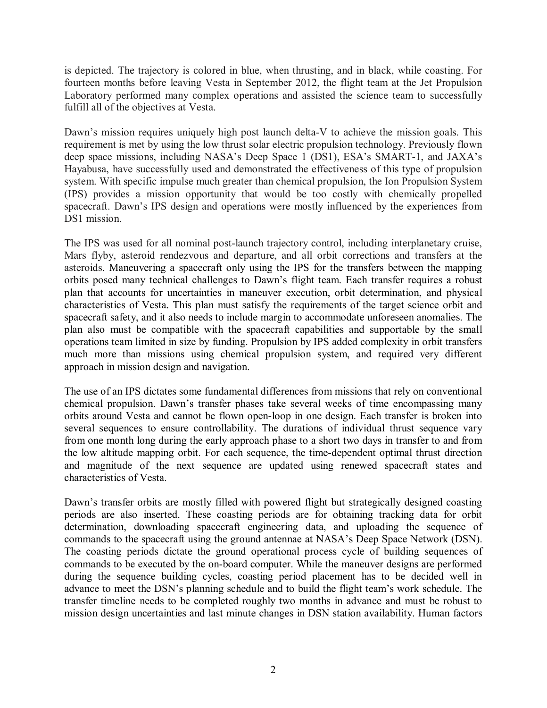is depicted. The trajectory is colored in blue, when thrusting, and in black, while coasting. For fourteen months before leaving Vesta in September 2012, the flight team at the Jet Propulsion Laboratory performed many complex operations and assisted the science team to successfully fulfill all of the objectives at Vesta.

Dawn's mission requires uniquely high post launch delta-V to achieve the mission goals. This requirement is met by using the low thrust solar electric propulsion technology. Previously flown deep space missions, including NASA's Deep Space 1 (DS1), ESA's SMART-1, and JAXA's Hayabusa, have successfully used and demonstrated the effectiveness of this type of propulsion system. With specific impulse much greater than chemical propulsion, the Ion Propulsion System (IPS) provides a mission opportunity that would be too costly with chemically propelled spacecraft. Dawn's IPS design and operations were mostly influenced by the experiences from DS1 mission.

The IPS was used for all nominal post-launch trajectory control, including interplanetary cruise, Mars flyby, asteroid rendezvous and departure, and all orbit corrections and transfers at the asteroids. Maneuvering a spacecraft only using the IPS for the transfers between the mapping orbits posed many technical challenges to Dawn's flight team. Each transfer requires a robust plan that accounts for uncertainties in maneuver execution, orbit determination, and physical characteristics of Vesta. This plan must satisfy the requirements of the target science orbit and spacecraft safety, and it also needs to include margin to accommodate unforeseen anomalies. The plan also must be compatible with the spacecraft capabilities and supportable by the small operations team limited in size by funding. Propulsion by IPS added complexity in orbit transfers much more than missions using chemical propulsion system, and required very different approach in mission design and navigation.

The use of an IPS dictates some fundamental differences from missions that rely on conventional chemical propulsion. Dawn's transfer phases take several weeks of time encompassing many orbits around Vesta and cannot be flown open-loop in one design. Each transfer is broken into several sequences to ensure controllability. The durations of individual thrust sequence vary from one month long during the early approach phase to a short two days in transfer to and from the low altitude mapping orbit. For each sequence, the time-dependent optimal thrust direction and magnitude of the next sequence are updated using renewed spacecraft states and characteristics of Vesta.

Dawn's transfer orbits are mostly filled with powered flight but strategically designed coasting periods are also inserted. These coasting periods are for obtaining tracking data for orbit determination, downloading spacecraft engineering data, and uploading the sequence of commands to the spacecraft using the ground antennae at NASA's Deep Space Network (DSN). The coasting periods dictate the ground operational process cycle of building sequences of commands to be executed by the on-board computer. While the maneuver designs are performed during the sequence building cycles, coasting period placement has to be decided well in advance to meet the DSN's planning schedule and to build the flight team's work schedule. The transfer timeline needs to be completed roughly two months in advance and must be robust to mission design uncertainties and last minute changes in DSN station availability. Human factors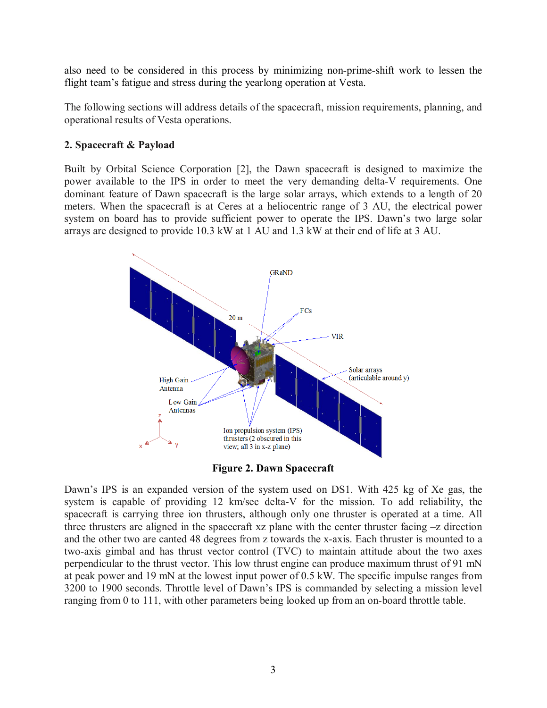also need to be considered in this process by minimizing non-prime-shift work to lessen the flight team's fatigue and stress during the yearlong operation at Vesta.

The following sections will address details of the spacecraft, mission requirements, planning, and operational results of Vesta operations.

### **2. Spacecraft & Payload**

Built by Orbital Science Corporation [2], the Dawn spacecraft is designed to maximize the power available to the IPS in order to meet the very demanding delta-V requirements. One dominant feature of Dawn spacecraft is the large solar arrays, which extends to a length of 20 meters. When the spacecraft is at Ceres at a heliocentric range of 3 AU, the electrical power system on board has to provide sufficient power to operate the IPS. Dawn's two large solar arrays are designed to provide 10.3 kW at 1 AU and 1.3 kW at their end of life at 3 AU.



**Figure 2. Dawn Spacecraft**

Dawn's IPS is an expanded version of the system used on DS1. With 425 kg of Xe gas, the system is capable of providing 12 km/sec delta-V for the mission. To add reliability, the spacecraft is carrying three ion thrusters, although only one thruster is operated at a time. All three thrusters are aligned in the spacecraft xz plane with the center thruster facing  $-z$  direction and the other two are canted 48 degrees from z towards the x-axis. Each thruster is mounted to a two-axis gimbal and has thrust vector control (TVC) to maintain attitude about the two axes perpendicular to the thrust vector. This low thrust engine can produce maximum thrust of 91 mN at peak power and 19 mN at the lowest input power of 0.5 kW. The specific impulse ranges from 3200 to 1900 seconds. Throttle level of Dawn's IPS is commanded by selecting a mission level ranging from 0 to 111, with other parameters being looked up from an on-board throttle table.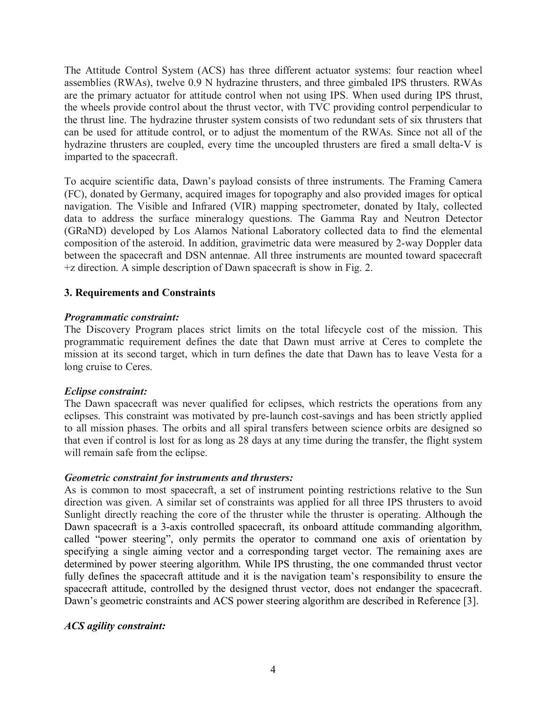The Attitude Control System (ACS) has three different actuator systems: four reaction wheel assemblies (RWAs), twelve 0.9 N hydrazine thrusters, and three gimbaled IPS thrusters. RWAs are the primary actuator for attitude control when not using IPS. When used during IPS thrust, the wheels provide control about the thrust vector, with TVC providing control perpendicular to the thrust line. The hydrazine thruster system consists of two redundant sets of six thrusters that can be used for attitude control, or to adjust the momentum of the RWAs. Since not all of the hydrazine thrusters are coupled, every time the uncoupled thrusters are fired a small delta-V is imparted to the spacecraft.

To acquire scientific data, Dawn's payload consists of three instruments. The Framing Camera (FC), donated by Germany, acquired images for topography and also provided images for optical navigation. The Visible and Infrared (VIR) mapping spectrometer, donated by Italy, collected data to address the surface mineralogy questions. The Gamma Ray and Neutron Detector (GRaND) developed by Los Alamos National Laboratory collected data to find the elemental composition of the asteroid. In addition, gravimetric data were measured by 2-way Doppler data between the spacecraft and DSN antennae. All three instruments are mounted toward spacecraft +z direction. A simple description of Dawn spacecraft is show in Fig. 2.

# **3. Requirements and Constraints**

### *Programmatic constraint:*

The Discovery Program places strict limits on the total lifecycle cost of the mission. This programmatic requirement defines the date that Dawn must arrive at Ceres to complete the mission at its second target, which in turn defines the date that Dawn has to leave Vesta for a long cruise to Ceres.

# *Eclipse constraint:*

The Dawn spacecraft was never qualified for eclipses, which restricts the operations from any eclipses. This constraint was motivated by pre-launch cost-savings and has been strictly applied to all mission phases. The orbits and all spiral transfers between science orbits are designed so that even if control is lost for as long as 28 days at any time during the transfer, the flight system will remain safe from the eclipse.

#### *Geometric constraint for instruments and thrusters:*

As is common to most spacecraft, a set of instrument pointing restrictions relative to the Sun direction was given. A similar set of constraints was applied for all three IPS thrusters to avoid Sunlight directly reaching the core of the thruster while the thruster is operating. Although the Dawn spacecraft is a 3-axis controlled spacecraft, its onboard attitude commanding algorithm, called "power steering", only permits the operator to command one axis of orientation by specifying a single aiming vector and a corresponding target vector. The remaining axes are determined by power steering algorithm. While IPS thrusting, the one commanded thrust vector fully defines the spacecraft attitude and it is the navigation team's responsibility to ensure the spacecraft attitude, controlled by the designed thrust vector, does not endanger the spacecraft. Dawn's geometric constraints and ACS power steering algorithm are described in Reference [3].

# *ACS agility constraint:*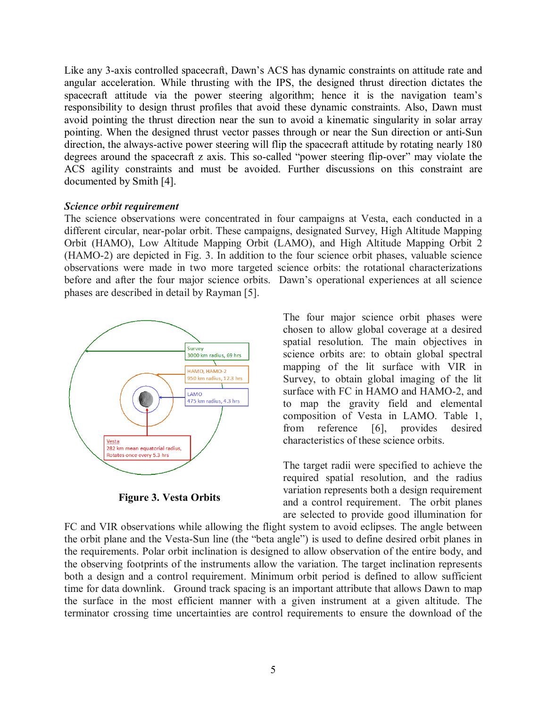Like any 3-axis controlled spacecraft, Dawn's ACS has dynamic constraints on attitude rate and angular acceleration. While thrusting with the IPS, the designed thrust direction dictates the spacecraft attitude via the power steering algorithm; hence it is the navigation team's responsibility to design thrust profiles that avoid these dynamic constraints. Also, Dawn must avoid pointing the thrust direction near the sun to avoid a kinematic singularity in solar array pointing. When the designed thrust vector passes through or near the Sun direction or anti-Sun direction, the always-active power steering will flip the spacecraft attitude by rotating nearly 180 degrees around the spacecraft z axis. This so-called "power steering flip-over" may violate the ACS agility constraints and must be avoided. Further discussions on this constraint are documented by Smith [4].

#### *Science orbit requirement*

The science observations were concentrated in four campaigns at Vesta, each conducted in a different circular, near-polar orbit. These campaigns, designated Survey, High Altitude Mapping Orbit (HAMO), Low Altitude Mapping Orbit (LAMO), and High Altitude Mapping Orbit 2 (HAMO-2) are depicted in Fig. 3. In addition to the four science orbit phases, valuable science observations were made in two more targeted science orbits: the rotational characterizations before and after the four major science orbits. Dawn's operational experiences at all science phases are described in detail by Rayman [5].



**Figure 3. Vesta Orbits**

The four major science orbit phases were chosen to allow global coverage at a desired spatial resolution. The main objectives in science orbits are: to obtain global spectral mapping of the lit surface with VIR in Survey, to obtain global imaging of the lit surface with FC in HAMO and HAMO-2, and to map the gravity field and elemental composition of Vesta in LAMO. Table 1, from reference [6], provides desired characteristics of these science orbits.

The target radii were specified to achieve the required spatial resolution, and the radius variation represents both a design requirement and a control requirement. The orbit planes are selected to provide good illumination for

FC and VIR observations while allowing the flight system to avoid eclipses. The angle between the orbit plane and the Vesta-Sun line (the "beta angle") is used to define desired orbit planes in the requirements. Polar orbit inclination is designed to allow observation of the entire body, and the observing footprints of the instruments allow the variation. The target inclination represents both a design and a control requirement. Minimum orbit period is defined to allow sufficient time for data downlink. Ground track spacing is an important attribute that allows Dawn to map the surface in the most efficient manner with a given instrument at a given altitude. The terminator crossing time uncertainties are control requirements to ensure the download of the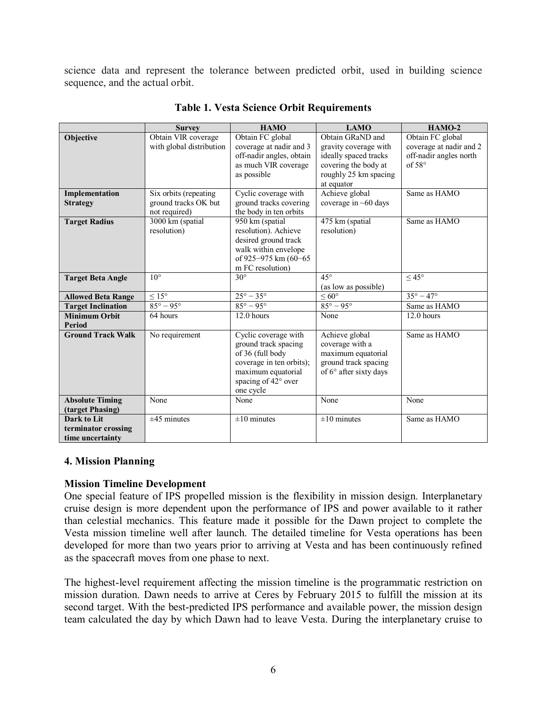science data and represent the tolerance between predicted orbit, used in building science sequence, and the actual orbit.

|                                                        | <b>Survey</b>                                                  | <b>HAMO</b>                                                                                                                                            | <b>LAMO</b>                                                                                                                       | $HAMO-2$                                                                               |
|--------------------------------------------------------|----------------------------------------------------------------|--------------------------------------------------------------------------------------------------------------------------------------------------------|-----------------------------------------------------------------------------------------------------------------------------------|----------------------------------------------------------------------------------------|
| Objective                                              | Obtain VIR coverage<br>with global distribution                | Obtain FC global<br>coverage at nadir and 3<br>off-nadir angles, obtain<br>as much VIR coverage<br>as possible                                         | Obtain GRaND and<br>gravity coverage with<br>ideally spaced tracks<br>covering the body at<br>roughly 25 km spacing<br>at equator | Obtain FC global<br>coverage at nadir and 2<br>off-nadir angles north<br>of $58^\circ$ |
| Implementation<br><b>Strategy</b>                      | Six orbits (repeating<br>ground tracks OK but<br>not required) | Cyclic coverage with<br>ground tracks covering<br>the body in ten orbits                                                                               | Achieve global<br>coverage in $~60$ days                                                                                          | Same as HAMO                                                                           |
| <b>Target Radius</b>                                   | 3000 km (spatial<br>resolution)                                | 950 km (spatial<br>resolution). Achieve<br>desired ground track<br>walk within envelope<br>of 925-975 km (60-65<br>m FC resolution)                    | 475 km (spatial<br>resolution)                                                                                                    | Same as HAMO                                                                           |
| <b>Target Beta Angle</b>                               | $10^{\circ}$                                                   | $30^\circ$                                                                                                                                             | $45^\circ$<br>(as low as possible)                                                                                                | $≤ 45°$                                                                                |
| <b>Allowed Beta Range</b>                              | $\leq 15^{\circ}$                                              | $25^{\circ} - 35^{\circ}$                                                                                                                              | $\leq 60^{\circ}$                                                                                                                 | $35^{\circ} - 47^{\circ}$                                                              |
| <b>Target Inclination</b>                              | $85^\circ - 95^\circ$                                          | $85^\circ - 95^\circ$                                                                                                                                  | $85^\circ - 95^\circ$                                                                                                             | Same as HAMO                                                                           |
| <b>Minimum Orbit</b><br>Period                         | 64 hours                                                       | 12.0 hours                                                                                                                                             | None                                                                                                                              | $12.0$ hours                                                                           |
| <b>Ground Track Walk</b>                               | No requirement                                                 | Cyclic coverage with<br>ground track spacing<br>of 36 (full body<br>coverage in ten orbits);<br>maximum equatorial<br>spacing of 42° over<br>one cycle | Achieve global<br>coverage with a<br>maximum equatorial<br>ground track spacing<br>of 6° after sixty days                         | Same as HAMO                                                                           |
| <b>Absolute Timing</b><br>(target Phasing)             | None                                                           | None                                                                                                                                                   | None                                                                                                                              | None                                                                                   |
| Dark to Lit<br>terminator crossing<br>time uncertainty | $±45$ minutes                                                  | $\pm 10$ minutes                                                                                                                                       | $\pm 10$ minutes                                                                                                                  | Same as HAMO                                                                           |

**Table 1. Vesta Science Orbit Requirements**

# **4. Mission Planning**

# **Mission Timeline Development**

One special feature of IPS propelled mission is the flexibility in mission design. Interplanetary cruise design is more dependent upon the performance of IPS and power available to it rather than celestial mechanics. This feature made it possible for the Dawn project to complete the Vesta mission timeline well after launch. The detailed timeline for Vesta operations has been developed for more than two years prior to arriving at Vesta and has been continuously refined as the spacecraft moves from one phase to next.

The highest-level requirement affecting the mission timeline is the programmatic restriction on mission duration. Dawn needs to arrive at Ceres by February 2015 to fulfill the mission at its second target. With the best-predicted IPS performance and available power, the mission design team calculated the day by which Dawn had to leave Vesta. During the interplanetary cruise to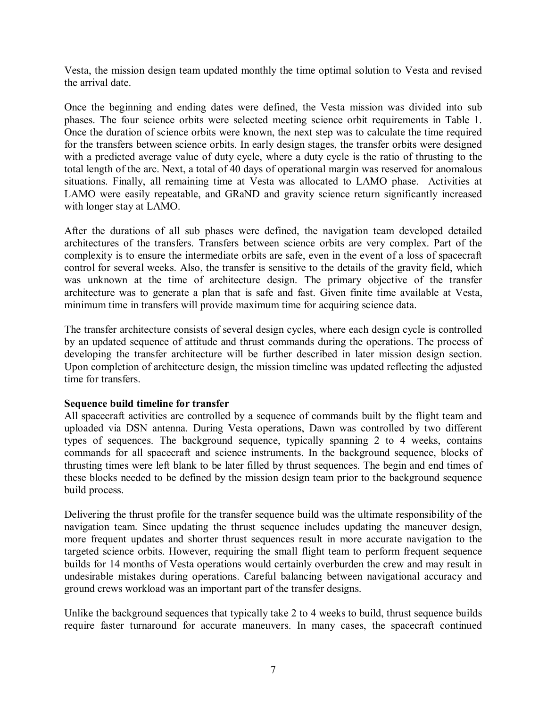Vesta, the mission design team updated monthly the time optimal solution to Vesta and revised the arrival date.

Once the beginning and ending dates were defined, the Vesta mission was divided into sub phases. The four science orbits were selected meeting science orbit requirements in Table 1. Once the duration of science orbits were known, the next step was to calculate the time required for the transfers between science orbits. In early design stages, the transfer orbits were designed with a predicted average value of duty cycle, where a duty cycle is the ratio of thrusting to the total length of the arc. Next, a total of 40 days of operational margin was reserved for anomalous situations. Finally, all remaining time at Vesta was allocated to LAMO phase. Activities at LAMO were easily repeatable, and GRaND and gravity science return significantly increased with longer stay at LAMO.

After the durations of all sub phases were defined, the navigation team developed detailed architectures of the transfers. Transfers between science orbits are very complex. Part of the complexity is to ensure the intermediate orbits are safe, even in the event of a loss of spacecraft control for several weeks. Also, the transfer is sensitive to the details of the gravity field, which was unknown at the time of architecture design. The primary objective of the transfer architecture was to generate a plan that is safe and fast. Given finite time available at Vesta, minimum time in transfers will provide maximum time for acquiring science data.

The transfer architecture consists of several design cycles, where each design cycle is controlled by an updated sequence of attitude and thrust commands during the operations. The process of developing the transfer architecture will be further described in later mission design section. Upon completion of architecture design, the mission timeline was updated reflecting the adjusted time for transfers.

# **Sequence build timeline for transfer**

All spacecraft activities are controlled by a sequence of commands built by the flight team and uploaded via DSN antenna. During Vesta operations, Dawn was controlled by two different types of sequences. The background sequence, typically spanning 2 to 4 weeks, contains commands for all spacecraft and science instruments. In the background sequence, blocks of thrusting times were left blank to be later filled by thrust sequences. The begin and end times of these blocks needed to be defined by the mission design team prior to the background sequence build process.

Delivering the thrust profile for the transfer sequence build was the ultimate responsibility of the navigation team. Since updating the thrust sequence includes updating the maneuver design, more frequent updates and shorter thrust sequences result in more accurate navigation to the targeted science orbits. However, requiring the small flight team to perform frequent sequence builds for 14 months of Vesta operations would certainly overburden the crew and may result in undesirable mistakes during operations. Careful balancing between navigational accuracy and ground crews workload was an important part of the transfer designs.

Unlike the background sequences that typically take 2 to 4 weeks to build, thrust sequence builds require faster turnaround for accurate maneuvers. In many cases, the spacecraft continued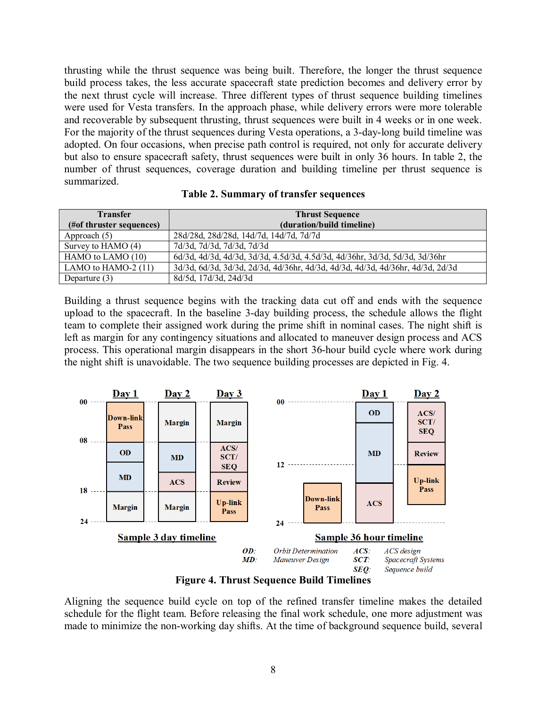thrusting while the thrust sequence was being built. Therefore, the longer the thrust sequence build process takes, the less accurate spacecraft state prediction becomes and delivery error by the next thrust cycle will increase. Three different types of thrust sequence building timelines were used for Vesta transfers. In the approach phase, while delivery errors were more tolerable and recoverable by subsequent thrusting, thrust sequences were built in 4 weeks or in one week. For the majority of the thrust sequences during Vesta operations, a 3-day-long build timeline was adopted. On four occasions, when precise path control is required, not only for accurate delivery but also to ensure spacecraft safety, thrust sequences were built in only 36 hours. In table 2, the number of thrust sequences, coverage duration and building timeline per thrust sequence is summarized.

| <b>Transfer</b>          | <b>Thrust Sequence</b>                                                          |  |  |  |
|--------------------------|---------------------------------------------------------------------------------|--|--|--|
| (#of thruster sequences) | (duration/build timeline)                                                       |  |  |  |
| Approach (5)             | 28d/28d, 28d/28d, 14d/7d, 14d/7d, 7d/7d                                         |  |  |  |
| Survey to HAMO (4)       | 7d/3d, 7d/3d, 7d/3d, 7d/3d                                                      |  |  |  |
| HAMO to LAMO (10)        | 6d/3d, 4d/3d, 4d/3d, 3d/3d, 4.5d/3d, 4.5d/3d, 4d/36hr, 3d/3d, 5d/3d, 3d/36hr    |  |  |  |
| LAMO to HAMO-2 $(11)$    | 3d/3d, 6d/3d, 3d/3d, 2d/3d, 4d/36hr, 4d/3d, 4d/3d, 4d/3d, 4d/36hr, 4d/3d, 2d/3d |  |  |  |
| Departure $(3)$          | 8d/5d, 17d/3d, 24d/3d                                                           |  |  |  |

Building a thrust sequence begins with the tracking data cut off and ends with the sequence upload to the spacecraft. In the baseline 3-day building process, the schedule allows the flight team to complete their assigned work during the prime shift in nominal cases. The night shift is left as margin for any contingency situations and allocated to maneuver design process and ACS process. This operational margin disappears in the short 36-hour build cycle where work during the night shift is unavoidable. The two sequence building processes are depicted in Fig. 4.





Aligning the sequence build cycle on top of the refined transfer timeline makes the detailed schedule for the flight team. Before releasing the final work schedule, one more adjustment was made to minimize the non-working day shifts. At the time of background sequence build, several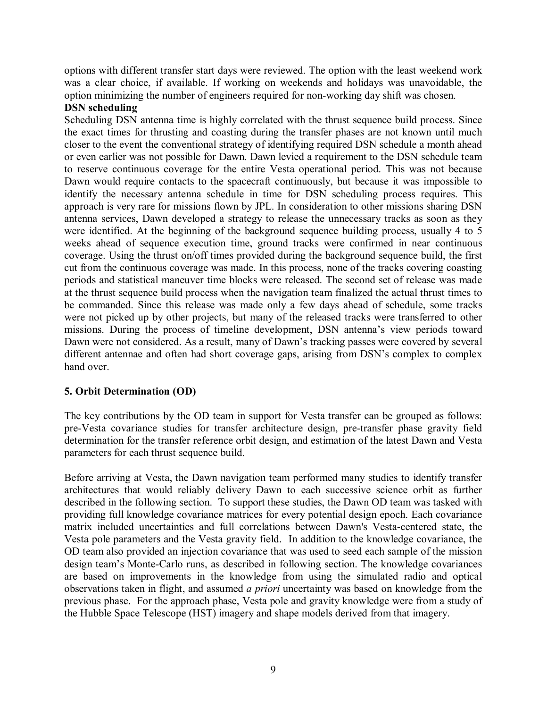options with different transfer start days were reviewed. The option with the least weekend work was a clear choice, if available. If working on weekends and holidays was unavoidable, the option minimizing the number of engineers required for non-working day shift was chosen.

#### **DSN scheduling**

Scheduling DSN antenna time is highly correlated with the thrust sequence build process. Since the exact times for thrusting and coasting during the transfer phases are not known until much closer to the event the conventional strategy of identifying required DSN schedule a month ahead or even earlier was not possible for Dawn. Dawn levied a requirement to the DSN schedule team to reserve continuous coverage for the entire Vesta operational period. This was not because Dawn would require contacts to the spacecraft continuously, but because it was impossible to identify the necessary antenna schedule in time for DSN scheduling process requires. This approach is very rare for missions flown by JPL. In consideration to other missions sharing DSN antenna services, Dawn developed a strategy to release the unnecessary tracks as soon as they were identified. At the beginning of the background sequence building process, usually 4 to 5 weeks ahead of sequence execution time, ground tracks were confirmed in near continuous coverage. Using the thrust on/off times provided during the background sequence build, the first cut from the continuous coverage was made. In this process, none of the tracks covering coasting periods and statistical maneuver time blocks were released. The second set of release was made at the thrust sequence build process when the navigation team finalized the actual thrust times to be commanded. Since this release was made only a few days ahead of schedule, some tracks were not picked up by other projects, but many of the released tracks were transferred to other missions. During the process of timeline development, DSN antenna's view periods toward Dawn were not considered. As a result, many of Dawn's tracking passes were covered by several different antennae and often had short coverage gaps, arising from DSN's complex to complex hand over.

#### **5. Orbit Determination (OD)**

The key contributions by the OD team in support for Vesta transfer can be grouped as follows: pre-Vesta covariance studies for transfer architecture design, pre-transfer phase gravity field determination for the transfer reference orbit design, and estimation of the latest Dawn and Vesta parameters for each thrust sequence build.

Before arriving at Vesta, the Dawn navigation team performed many studies to identify transfer architectures that would reliably delivery Dawn to each successive science orbit as further described in the following section. To support these studies, the Dawn OD team was tasked with providing full knowledge covariance matrices for every potential design epoch. Each covariance matrix included uncertainties and full correlations between Dawn's Vesta-centered state, the Vesta pole parameters and the Vesta gravity field. In addition to the knowledge covariance, the OD team also provided an injection covariance that was used to seed each sample of the mission design team's Monte-Carlo runs, as described in following section. The knowledge covariances are based on improvements in the knowledge from using the simulated radio and optical observations taken in flight, and assumed *a priori* uncertainty was based on knowledge from the previous phase. For the approach phase, Vesta pole and gravity knowledge were from a study of the Hubble Space Telescope (HST) imagery and shape models derived from that imagery.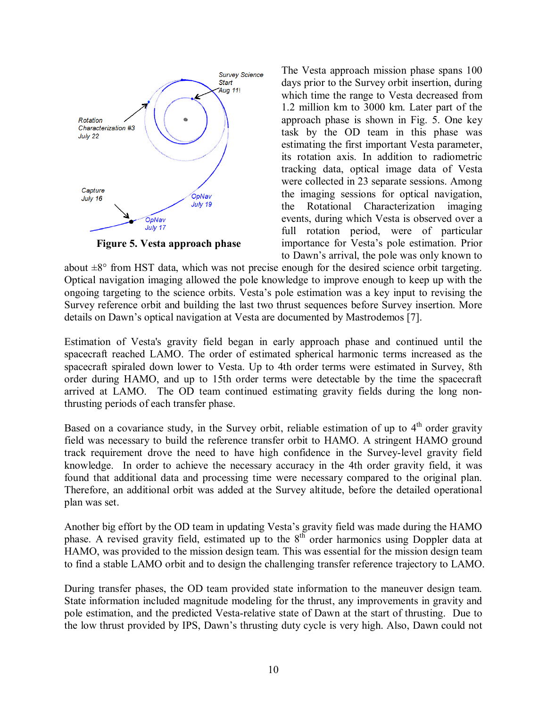

**Figure 5. Vesta approach phase**

The Vesta approach mission phase spans 100 days prior to the Survey orbit insertion, during which time the range to Vesta decreased from 1.2 million km to 3000 km. Later part of the approach phase is shown in Fig. 5. One key task by the OD team in this phase was estimating the first important Vesta parameter, its rotation axis. In addition to radiometric tracking data, optical image data of Vesta were collected in 23 separate sessions. Among the imaging sessions for optical navigation, the Rotational Characterization imaging events, during which Vesta is observed over a full rotation period, were of particular importance for Vesta's pole estimation. Prior to Dawn's arrival, the pole was only known to

about  $\pm 8^{\circ}$  from HST data, which was not precise enough for the desired science orbit targeting. Optical navigation imaging allowed the pole knowledge to improve enough to keep up with the ongoing targeting to the science orbits. Vesta's pole estimation was a key input to revising the Survey reference orbit and building the last two thrust sequences before Survey insertion. More details on Dawn's optical navigation at Vesta are documented by Mastrodemos [7].

Estimation of Vesta's gravity field began in early approach phase and continued until the spacecraft reached LAMO. The order of estimated spherical harmonic terms increased as the spacecraft spiraled down lower to Vesta. Up to 4th order terms were estimated in Survey, 8th order during HAMO, and up to 15th order terms were detectable by the time the spacecraft arrived at LAMO. The OD team continued estimating gravity fields during the long nonthrusting periods of each transfer phase.

Based on a covariance study, in the Survey orbit, reliable estimation of up to  $4<sup>th</sup>$  order gravity field was necessary to build the reference transfer orbit to HAMO. A stringent HAMO ground track requirement drove the need to have high confidence in the Survey-level gravity field knowledge. In order to achieve the necessary accuracy in the 4th order gravity field, it was found that additional data and processing time were necessary compared to the original plan. Therefore, an additional orbit was added at the Survey altitude, before the detailed operational plan was set.

Another big effort by the OD team in updating Vesta's gravity field was made during the HAMO phase. A revised gravity field, estimated up to the 8<sup>th</sup> order harmonics using Doppler data at HAMO, was provided to the mission design team. This was essential for the mission design team to find a stable LAMO orbit and to design the challenging transfer reference trajectory to LAMO.

During transfer phases, the OD team provided state information to the maneuver design team. State information included magnitude modeling for the thrust, any improvements in gravity and pole estimation, and the predicted Vesta-relative state of Dawn at the start of thrusting. Due to the low thrust provided by IPS, Dawn's thrusting duty cycle is very high. Also, Dawn could not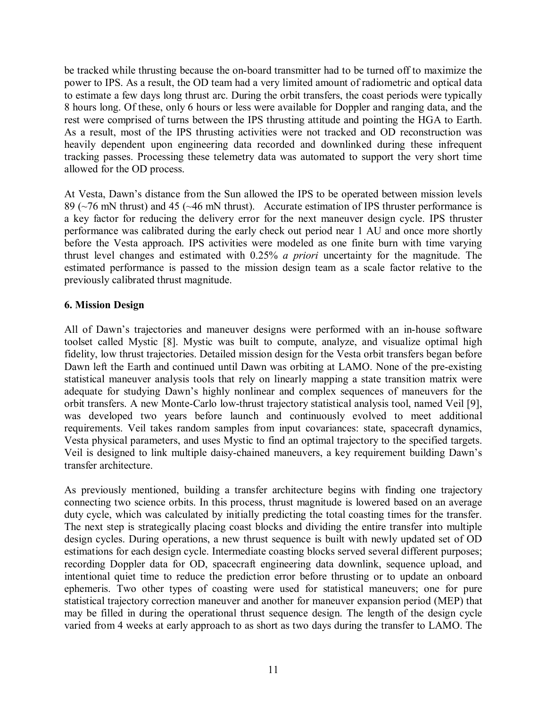be tracked while thrusting because the on-board transmitter had to be turned off to maximize the power to IPS. As a result, the OD team had a very limited amount of radiometric and optical data to estimate a few days long thrust arc. During the orbit transfers, the coast periods were typically 8 hours long. Of these, only 6 hours or less were available for Doppler and ranging data, and the rest were comprised of turns between the IPS thrusting attitude and pointing the HGA to Earth. As a result, most of the IPS thrusting activities were not tracked and OD reconstruction was heavily dependent upon engineering data recorded and downlinked during these infrequent tracking passes. Processing these telemetry data was automated to support the very short time allowed for the OD process.

At Vesta, Dawn's distance from the Sun allowed the IPS to be operated between mission levels 89 (~76 mN thrust) and 45 (~46 mN thrust). Accurate estimation of IPS thruster performance is a key factor for reducing the delivery error for the next maneuver design cycle. IPS thruster performance was calibrated during the early check out period near 1 AU and once more shortly before the Vesta approach. IPS activities were modeled as one finite burn with time varying thrust level changes and estimated with 0.25% *a priori* uncertainty for the magnitude. The estimated performance is passed to the mission design team as a scale factor relative to the previously calibrated thrust magnitude.

# **6. Mission Design**

All of Dawn's trajectories and maneuver designs were performed with an in-house software toolset called Mystic [8]. Mystic was built to compute, analyze, and visualize optimal high fidelity, low thrust trajectories. Detailed mission design for the Vesta orbit transfers began before Dawn left the Earth and continued until Dawn was orbiting at LAMO. None of the pre-existing statistical maneuver analysis tools that rely on linearly mapping a state transition matrix were adequate for studying Dawn's highly nonlinear and complex sequences of maneuvers for the orbit transfers. A new Monte-Carlo low-thrust trajectory statistical analysis tool, named Veil [9], was developed two years before launch and continuously evolved to meet additional requirements. Veil takes random samples from input covariances: state, spacecraft dynamics, Vesta physical parameters, and uses Mystic to find an optimal trajectory to the specified targets. Veil is designed to link multiple daisy-chained maneuvers, a key requirement building Dawn's transfer architecture.

As previously mentioned, building a transfer architecture begins with finding one trajectory connecting two science orbits. In this process, thrust magnitude is lowered based on an average duty cycle, which was calculated by initially predicting the total coasting times for the transfer. The next step is strategically placing coast blocks and dividing the entire transfer into multiple design cycles. During operations, a new thrust sequence is built with newly updated set of OD estimations for each design cycle. Intermediate coasting blocks served several different purposes; recording Doppler data for OD, spacecraft engineering data downlink, sequence upload, and intentional quiet time to reduce the prediction error before thrusting or to update an onboard ephemeris. Two other types of coasting were used for statistical maneuvers; one for pure statistical trajectory correction maneuver and another for maneuver expansion period (MEP) that may be filled in during the operational thrust sequence design. The length of the design cycle varied from 4 weeks at early approach to as short as two days during the transfer to LAMO. The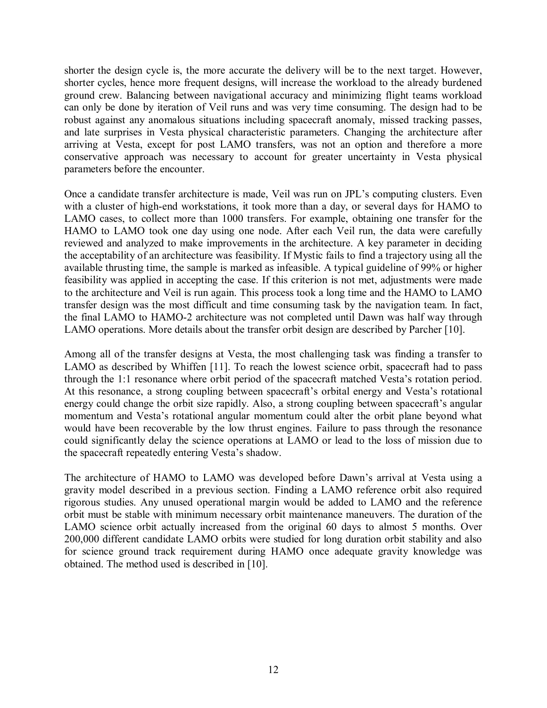shorter the design cycle is, the more accurate the delivery will be to the next target. However, shorter cycles, hence more frequent designs, will increase the workload to the already burdened ground crew. Balancing between navigational accuracy and minimizing flight teams workload can only be done by iteration of Veil runs and was very time consuming. The design had to be robust against any anomalous situations including spacecraft anomaly, missed tracking passes, and late surprises in Vesta physical characteristic parameters. Changing the architecture after arriving at Vesta, except for post LAMO transfers, was not an option and therefore a more conservative approach was necessary to account for greater uncertainty in Vesta physical parameters before the encounter.

Once a candidate transfer architecture is made, Veil was run on JPL's computing clusters. Even with a cluster of high-end workstations, it took more than a day, or several days for HAMO to LAMO cases, to collect more than 1000 transfers. For example, obtaining one transfer for the HAMO to LAMO took one day using one node. After each Veil run, the data were carefully reviewed and analyzed to make improvements in the architecture. A key parameter in deciding the acceptability of an architecture was feasibility. If Mystic fails to find a trajectory using all the available thrusting time, the sample is marked as infeasible. A typical guideline of 99% or higher feasibility was applied in accepting the case. If this criterion is not met, adjustments were made to the architecture and Veil is run again. This process took a long time and the HAMO to LAMO transfer design was the most difficult and time consuming task by the navigation team. In fact, the final LAMO to HAMO-2 architecture was not completed until Dawn was half way through LAMO operations. More details about the transfer orbit design are described by Parcher [10].

Among all of the transfer designs at Vesta, the most challenging task was finding a transfer to LAMO as described by Whiffen [11]. To reach the lowest science orbit, spacecraft had to pass through the 1:1 resonance where orbit period of the spacecraft matched Vesta's rotation period. At this resonance, a strong coupling between spacecraft's orbital energy and Vesta's rotational energy could change the orbit size rapidly. Also, a strong coupling between spacecraft's angular momentum and Vesta's rotational angular momentum could alter the orbit plane beyond what would have been recoverable by the low thrust engines. Failure to pass through the resonance could significantly delay the science operations at LAMO or lead to the loss of mission due to the spacecraft repeatedly entering Vesta's shadow.

The architecture of HAMO to LAMO was developed before Dawn's arrival at Vesta using a gravity model described in a previous section. Finding a LAMO reference orbit also required rigorous studies. Any unused operational margin would be added to LAMO and the reference orbit must be stable with minimum necessary orbit maintenance maneuvers. The duration of the LAMO science orbit actually increased from the original 60 days to almost 5 months. Over 200,000 different candidate LAMO orbits were studied for long duration orbit stability and also for science ground track requirement during HAMO once adequate gravity knowledge was obtained. The method used is described in [10].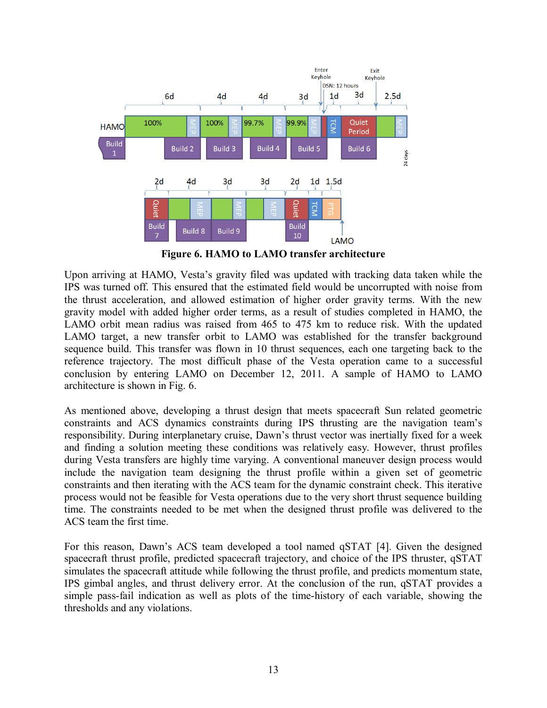

**Figure 6. HAMO to LAMO transfer architecture**

Upon arriving at HAMO, Vesta's gravity filed was updated with tracking data taken while the IPS was turned off. This ensured that the estimated field would be uncorrupted with noise from the thrust acceleration, and allowed estimation of higher order gravity terms. With the new gravity model with added higher order terms, as a result of studies completed in HAMO, the LAMO orbit mean radius was raised from 465 to 475 km to reduce risk. With the updated LAMO target, a new transfer orbit to LAMO was established for the transfer background sequence build. This transfer was flown in 10 thrust sequences, each one targeting back to the reference trajectory. The most difficult phase of the Vesta operation came to a successful conclusion by entering LAMO on December 12, 2011. A sample of HAMO to LAMO architecture is shown in Fig. 6.

As mentioned above, developing a thrust design that meets spacecraft Sun related geometric constraints and ACS dynamics constraints during IPS thrusting are the navigation team's responsibility. During interplanetary cruise, Dawn's thrust vector was inertially fixed for a week and finding a solution meeting these conditions was relatively easy. However, thrust profiles during Vesta transfers are highly time varying. A conventional maneuver design process would include the navigation team designing the thrust profile within a given set of geometric constraints and then iterating with the ACS team for the dynamic constraint check. This iterative process would not be feasible for Vesta operations due to the very short thrust sequence building time. The constraints needed to be met when the designed thrust profile was delivered to the ACS team the first time.

For this reason, Dawn's ACS team developed a tool named qSTAT [4]. Given the designed spacecraft thrust profile, predicted spacecraft trajectory, and choice of the IPS thruster, qSTAT simulates the spacecraft attitude while following the thrust profile, and predicts momentum state, IPS gimbal angles, and thrust delivery error. At the conclusion of the run, qSTAT provides a simple pass-fail indication as well as plots of the time-history of each variable, showing the thresholds and any violations.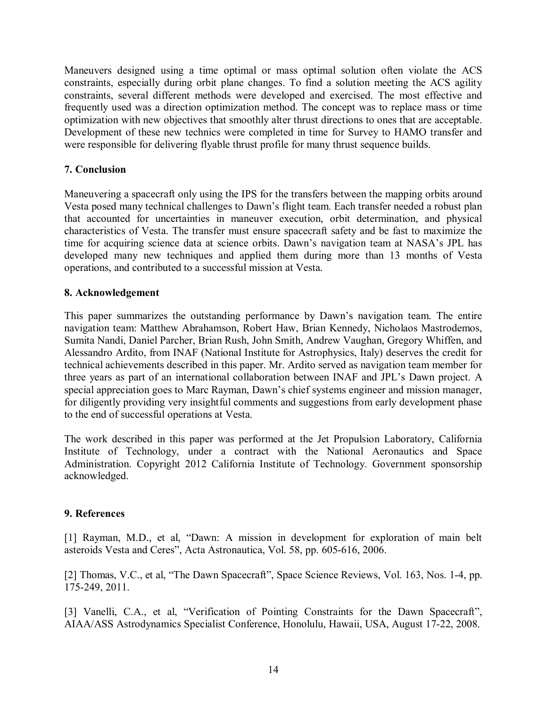Maneuvers designed using a time optimal or mass optimal solution often violate the ACS constraints, especially during orbit plane changes. To find a solution meeting the ACS agility constraints, several different methods were developed and exercised. The most effective and frequently used was a direction optimization method. The concept was to replace mass or time optimization with new objectives that smoothly alter thrust directions to ones that are acceptable. Development of these new technics were completed in time for Survey to HAMO transfer and were responsible for delivering flyable thrust profile for many thrust sequence builds.

# **7. Conclusion**

Maneuvering a spacecraft only using the IPS for the transfers between the mapping orbits around Vesta posed many technical challenges to Dawn's flight team. Each transfer needed a robust plan that accounted for uncertainties in maneuver execution, orbit determination, and physical characteristics of Vesta. The transfer must ensure spacecraft safety and be fast to maximize the time for acquiring science data at science orbits. Dawn's navigation team at NASA's JPL has developed many new techniques and applied them during more than 13 months of Vesta operations, and contributed to a successful mission at Vesta.

# **8. Acknowledgement**

This paper summarizes the outstanding performance by Dawn's navigation team. The entire navigation team: Matthew Abrahamson, Robert Haw, Brian Kennedy, Nicholaos Mastrodemos, Sumita Nandi, Daniel Parcher, Brian Rush, John Smith, Andrew Vaughan, Gregory Whiffen, and Alessandro Ardito, from INAF (National Institute for Astrophysics, Italy) deserves the credit for technical achievements described in this paper. Mr. Ardito served as navigation team member for three years as part of an international collaboration between INAF and JPL's Dawn project. A special appreciation goes to Marc Rayman, Dawn's chief systems engineer and mission manager, for diligently providing very insightful comments and suggestions from early development phase to the end of successful operations at Vesta.

The work described in this paper was performed at the Jet Propulsion Laboratory, California Institute of Technology, under a contract with the National Aeronautics and Space Administration. Copyright 2012 California Institute of Technology. Government sponsorship acknowledged.

#### **9. References**

[1] Rayman, M.D., et al, "Dawn: A mission in development for exploration of main belt asteroids Vesta and Ceres", Acta Astronautica, Vol. 58, pp. 605-616, 2006.

[2] Thomas, V.C., et al, "The Dawn Spacecraft", Space Science Reviews, Vol. 163, Nos. 1-4, pp. 175-249, 2011.

[3] Vanelli, C.A., et al, "Verification of Pointing Constraints for the Dawn Spacecraft", AIAA/ASS Astrodynamics Specialist Conference, Honolulu, Hawaii, USA, August 17-22, 2008.